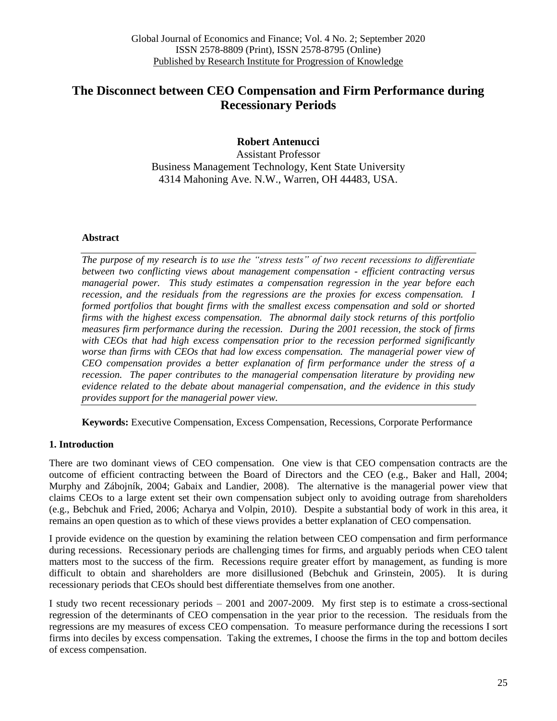# **The Disconnect between CEO Compensation and Firm Performance during Recessionary Periods**

## **Robert Antenucci**

Assistant Professor Business Management Technology, Kent State University 4314 Mahoning Ave. N.W., Warren, OH 44483, USA.

#### **Abstract**

*The purpose of my research is to use the "stress tests" of two recent recessions to differentiate between two conflicting views about management compensation - efficient contracting versus managerial power. This study estimates a compensation regression in the year before each recession, and the residuals from the regressions are the proxies for excess compensation. I formed portfolios that bought firms with the smallest excess compensation and sold or shorted firms with the highest excess compensation. The abnormal daily stock returns of this portfolio measures firm performance during the recession. During the 2001 recession, the stock of firms with CEOs that had high excess compensation prior to the recession performed significantly*  worse than firms with CEOs that had low excess compensation. The managerial power view of *CEO compensation provides a better explanation of firm performance under the stress of a recession. The paper contributes to the managerial compensation literature by providing new evidence related to the debate about managerial compensation, and the evidence in this study provides support for the managerial power view.* 

**Keywords:** Executive Compensation, Excess Compensation, Recessions, Corporate Performance

### **1. Introduction**

There are two dominant views of CEO compensation. One view is that CEO compensation contracts are the outcome of efficient contracting between the Board of Directors and the CEO (e.g., Baker and Hall, 2004; Murphy and Zábojník, 2004; Gabaix and Landier, 2008). The alternative is the managerial power view that claims CEOs to a large extent set their own compensation subject only to avoiding outrage from shareholders (e.g., Bebchuk and Fried, 2006; Acharya and Volpin, 2010). Despite a substantial body of work in this area, it remains an open question as to which of these views provides a better explanation of CEO compensation.

I provide evidence on the question by examining the relation between CEO compensation and firm performance during recessions. Recessionary periods are challenging times for firms, and arguably periods when CEO talent matters most to the success of the firm. Recessions require greater effort by management, as funding is more difficult to obtain and shareholders are more disillusioned (Bebchuk and Grinstein, 2005). It is during recessionary periods that CEOs should best differentiate themselves from one another.

I study two recent recessionary periods – 2001 and 2007-2009. My first step is to estimate a cross-sectional regression of the determinants of CEO compensation in the year prior to the recession. The residuals from the regressions are my measures of excess CEO compensation. To measure performance during the recessions I sort firms into deciles by excess compensation. Taking the extremes, I choose the firms in the top and bottom deciles of excess compensation.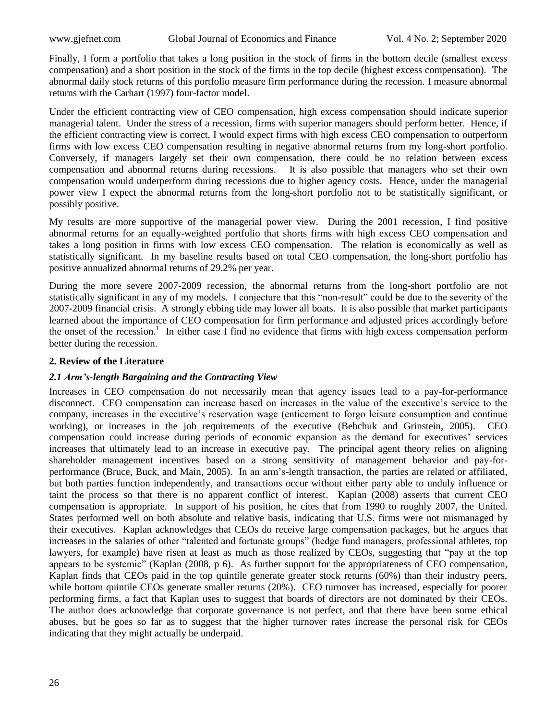Finally, I form a portfolio that takes a long position in the stock of firms in the bottom decile (smallest excess compensation) and a short position in the stock of the firms in the top decile (highest excess compensation). The abnormal daily stock returns of this portfolio measure firm performance during the recession. I measure abnormal returns with the Carhart (1997) four-factor model.

Under the efficient contracting view of CEO compensation, high excess compensation should indicate superior managerial talent. Under the stress of a recession, firms with superior managers should perform better. Hence, if the efficient contracting view is correct, I would expect firms with high excess CEO compensation to outperform firms with low excess CEO compensation resulting in negative abnormal returns from my long-short portfolio. Conversely, if managers largely set their own compensation, there could be no relation between excess compensation and abnormal returns during recessions. It is also possible that managers who set their own compensation would underperform during recessions due to higher agency costs. Hence, under the managerial power view I expect the abnormal returns from the long-short portfolio not to be statistically significant, or possibly positive.

My results are more supportive of the managerial power view. During the 2001 recession, I find positive abnormal returns for an equally-weighted portfolio that shorts firms with high excess CEO compensation and takes a long position in firms with low excess CEO compensation. The relation is economically as well as statistically significant. In my baseline results based on total CEO compensation, the long-short portfolio has positive annualized abnormal returns of 29.2% per year.

During the more severe 2007-2009 recession, the abnormal returns from the long-short portfolio are not statistically significant in any of my models. I conjecture that this "non-result" could be due to the severity of the 2007-2009 financial crisis. A strongly ebbing tide may lower all boats. It is also possible that market participants learned about the importance of CEO compensation for firm performance and adjusted prices accordingly before the onset of the recession.<sup>1</sup> In either case I find no evidence that firms with high excess compensation perform better during the recession.

#### **2. Review of the Literature**

#### *2.1 Arm's-length Bargaining and the Contracting View*

Increases in CEO compensation do not necessarily mean that agency issues lead to a pay-for-performance disconnect. CEO compensation can increase based on increases in the value of the executive's service to the company, increases in the executive's reservation wage (enticement to forgo leisure consumption and continue working), or increases in the job requirements of the executive (Bebchuk and Grinstein, 2005). CEO compensation could increase during periods of economic expansion as the demand for executives' services increases that ultimately lead to an increase in executive pay. The principal agent theory relies on aligning shareholder management incentives based on a strong sensitivity of management behavior and pay-forperformance (Bruce, Buck, and Main, 2005). In an arm's-length transaction, the parties are related or affiliated, but both parties function independently, and transactions occur without either party able to unduly influence or taint the process so that there is no apparent conflict of interest. Kaplan (2008) asserts that current CEO compensation is appropriate. In support of his position, he cites that from 1990 to roughly 2007, the United. States performed well on both absolute and relative basis, indicating that U.S. firms were not mismanaged by their executives. Kaplan acknowledges that CEOs do receive large compensation packages, but he argues that increases in the salaries of other "talented and fortunate groups" (hedge fund managers, professional athletes, top lawyers, for example) have risen at least as much as those realized by CEOs, suggesting that "pay at the top appears to be systemic" (Kaplan (2008, p 6). As further support for the appropriateness of CEO compensation, Kaplan finds that CEOs paid in the top quintile generate greater stock returns (60%) than their industry peers, while bottom quintile CEOs generate smaller returns (20%). CEO turnover has increased, especially for poorer performing firms, a fact that Kaplan uses to suggest that boards of directors are not dominated by their CEOs. The author does acknowledge that corporate governance is not perfect, and that there have been some ethical abuses, but he goes so far as to suggest that the higher turnover rates increase the personal risk for CEOs indicating that they might actually be underpaid.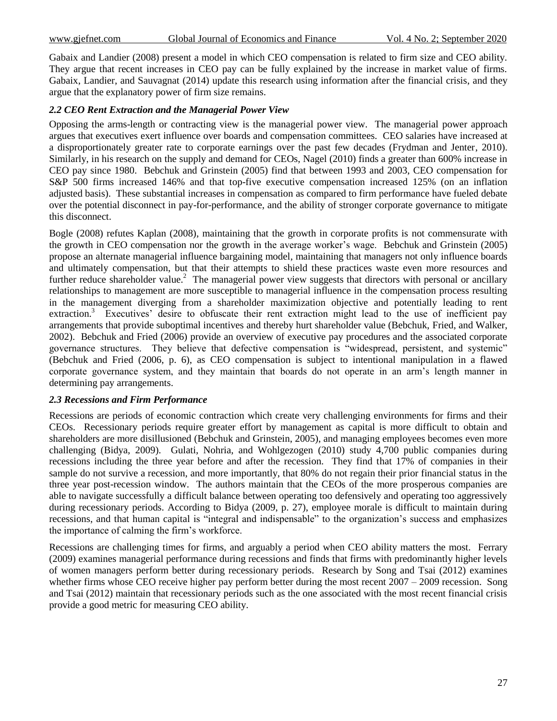Gabaix and Landier (2008) present a model in which CEO compensation is related to firm size and CEO ability. They argue that recent increases in CEO pay can be fully explained by the increase in market value of firms. Gabaix, Landier, and Sauvagnat (2014) update this research using information after the financial crisis, and they argue that the explanatory power of firm size remains.

#### *2.2 CEO Rent Extraction and the Managerial Power View*

Opposing the arms-length or contracting view is the managerial power view. The managerial power approach argues that executives exert influence over boards and compensation committees. CEO salaries have increased at a disproportionately greater rate to corporate earnings over the past few decades (Frydman and Jenter, 2010). Similarly, in his research on the supply and demand for CEOs, Nagel (2010) finds a greater than 600% increase in CEO pay since 1980. Bebchuk and Grinstein (2005) find that between 1993 and 2003, CEO compensation for S&P 500 firms increased 146% and that top-five executive compensation increased 125% (on an inflation adjusted basis). These substantial increases in compensation as compared to firm performance have fueled debate over the potential disconnect in pay-for-performance, and the ability of stronger corporate governance to mitigate this disconnect.

Bogle (2008) refutes Kaplan (2008), maintaining that the growth in corporate profits is not commensurate with the growth in CEO compensation nor the growth in the average worker's wage. Bebchuk and Grinstein (2005) propose an alternate managerial influence bargaining model, maintaining that managers not only influence boards and ultimately compensation, but that their attempts to shield these practices waste even more resources and further reduce shareholder value.<sup>2</sup> The managerial power view suggests that directors with personal or ancillary relationships to management are more susceptible to managerial influence in the compensation process resulting in the management diverging from a shareholder maximization objective and potentially leading to rent extraction.<sup>3</sup> Executives' desire to obfuscate their rent extraction might lead to the use of inefficient pay arrangements that provide suboptimal incentives and thereby hurt shareholder value (Bebchuk, Fried, and Walker, 2002). Bebchuk and Fried (2006) provide an overview of executive pay procedures and the associated corporate governance structures. They believe that defective compensation is "widespread, persistent, and systemic" (Bebchuk and Fried (2006, p. 6), as CEO compensation is subject to intentional manipulation in a flawed corporate governance system, and they maintain that boards do not operate in an arm's length manner in determining pay arrangements.

#### *2.3 Recessions and Firm Performance*

Recessions are periods of economic contraction which create very challenging environments for firms and their CEOs. Recessionary periods require greater effort by management as capital is more difficult to obtain and shareholders are more disillusioned (Bebchuk and Grinstein, 2005), and managing employees becomes even more challenging (Bidya, 2009). Gulati, Nohria, and Wohlgezogen (2010) study 4,700 public companies during recessions including the three year before and after the recession. They find that 17% of companies in their sample do not survive a recession, and more importantly, that 80% do not regain their prior financial status in the three year post-recession window. The authors maintain that the CEOs of the more prosperous companies are able to navigate successfully a difficult balance between operating too defensively and operating too aggressively during recessionary periods. According to Bidya (2009, p. 27), employee morale is difficult to maintain during recessions, and that human capital is "integral and indispensable" to the organization's success and emphasizes the importance of calming the firm's workforce.

Recessions are challenging times for firms, and arguably a period when CEO ability matters the most. Ferrary (2009) examines managerial performance during recessions and finds that firms with predominantly higher levels of women managers perform better during recessionary periods. Research by Song and Tsai (2012) examines whether firms whose CEO receive higher pay perform better during the most recent  $2007 - 2009$  recession. Song and Tsai (2012) maintain that recessionary periods such as the one associated with the most recent financial crisis provide a good metric for measuring CEO ability.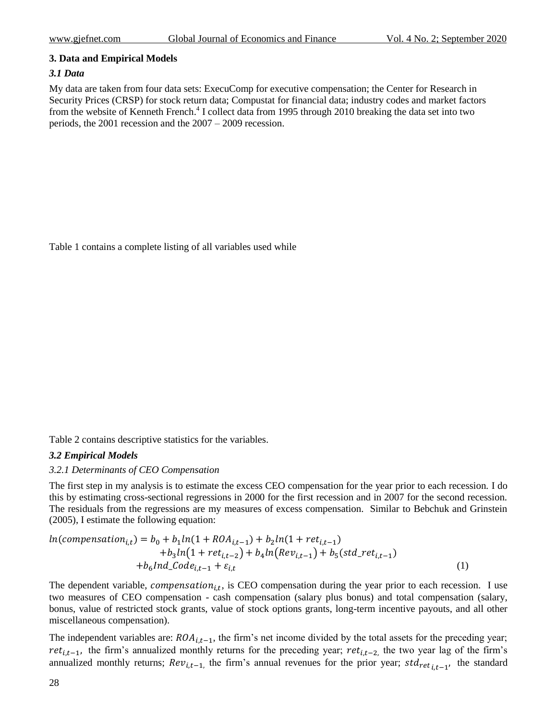#### **3. Data and Empirical Models**

#### *3.1 Data*

My data are taken from four data sets: ExecuComp for executive compensation; the Center for Research in Security Prices (CRSP) for stock return data; Compustat for financial data; industry codes and market factors from the website of Kenneth French.<sup>4</sup> I collect data from 1995 through 2010 breaking the data set into two periods, the 2001 recession and the 2007 – 2009 recession.

[Table 1](#page-8-0) [contains a complete listing of all variables used while](#page-9-0) 

[Table 2](#page-9-0) contains descriptive statistics for the variables.

### *3.2 Empirical Models*

### *3.2.1 Determinants of CEO Compensation*

The first step in my analysis is to estimate the excess CEO compensation for the year prior to each recession. I do this by estimating cross-sectional regressions in 2000 for the first recession and in 2007 for the second recession. The residuals from the regressions are my measures of excess compensation. Similar to Bebchuk and Grinstein (2005), I estimate the following equation:

$$
ln(compensation_{i,t}) = b_0 + b_1ln(1 + ROA_{i,t-1}) + b_2ln(1 + ret_{i,t-1})
$$
  
+
$$
b_3ln(1 + ret_{i,t-2}) + b_4ln(Rev_{i,t-1}) + b_5(std_ret_{i,t-1})
$$
  
+
$$
b_6Ind\_Code_{i,t-1} + \varepsilon_{i,t}
$$
 (1)

The dependent variable, *compensation*<sub>i.t</sub>, is CEO compensation during the year prior to each recession. I use two measures of CEO compensation - cash compensation (salary plus bonus) and total compensation (salary, bonus, value of restricted stock grants, value of stock options grants, long-term incentive payouts, and all other miscellaneous compensation).

The independent variables are:  $ROA_{i,t-1}$ , the firm's net income divided by the total assets for the preceding year; ret<sub>it-1</sub>, the firm's annualized monthly returns for the preceding year; ret<sub>it-2</sub> the two year lag of the firm's annualized monthly returns;  $Rev_{i,t-1}$ , the firm's annual revenues for the prior year;  $std_{ret,i-1}$ , the standard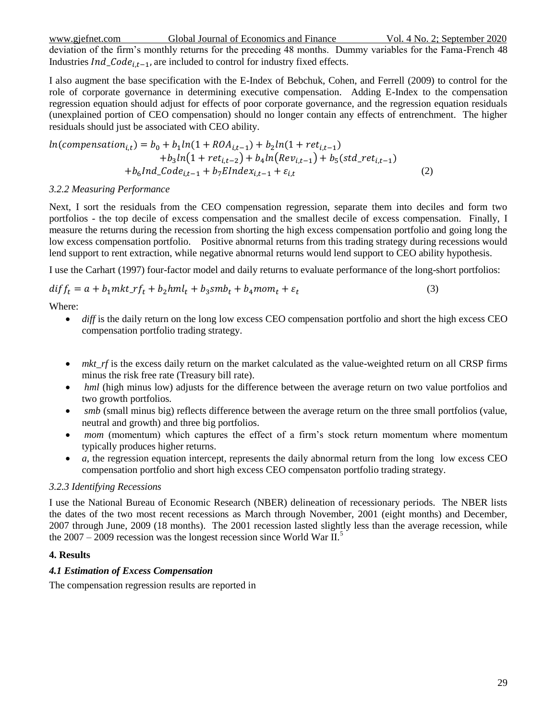www.gjefnet.com Global Journal of Economics and Finance Vol. 4 No. 2; September 2020 deviation of the firm's monthly returns for the preceding 48 months. Dummy variables for the Fama-French 48 Industries  $Ind\_Code_{i,t-1}$ , are included to control for industry fixed effects.

I also augment the base specification with the E-Index of Bebchuk, Cohen, and Ferrell (2009) to control for the role of corporate governance in determining executive compensation. Adding E-Index to the compensation regression equation should adjust for effects of poor corporate governance, and the regression equation residuals (unexplained portion of CEO compensation) should no longer contain any effects of entrenchment. The higher residuals should just be associated with CEO ability.

$$
ln(compensation_{i,t}) = b_0 + b_1 ln(1 + ROA_{i,t-1}) + b_2 ln(1 + ret_{i,t-1})
$$
  
+
$$
b_3 ln(1 + ret_{i,t-2}) + b_4 ln(Rev_{i,t-1}) + b_5 (std\_ret_{i,t-1})
$$
  
+
$$
b_6 Ind\_Code_{i,t-1} + b_7 EIndex_{i,t-1} + \varepsilon_{i,t}
$$
 (2)

#### *3.2.2 Measuring Performance*

Next, I sort the residuals from the CEO compensation regression, separate them into deciles and form two portfolios - the top decile of excess compensation and the smallest decile of excess compensation. Finally, I measure the returns during the recession from shorting the high excess compensation portfolio and going long the low excess compensation portfolio. Positive abnormal returns from this trading strategy during recessions would lend support to rent extraction, while negative abnormal returns would lend support to CEO ability hypothesis.

I use the Carhart (1997) four-factor model and daily returns to evaluate performance of the long-short portfolios:

$$
diff_t = a + b_1 mkt_r f_t + b_2 hml_t + b_3 smb_t + b_4 mom_t + \varepsilon_t
$$
\n(3)

Where:

- *diff* is the daily return on the long low excess CEO compensation portfolio and short the high excess CEO compensation portfolio trading strategy.
- *mkt\_rf* is the excess daily return on the market calculated as the value-weighted return on all CRSP firms minus the risk free rate (Treasury bill rate).
- *hml* (high minus low) adjusts for the difference between the average return on two value portfolios and two growth portfolios.
- *smb* (small minus big) reflects difference between the average return on the three small portfolios (value, neutral and growth) and three big portfolios.
- *mom* (momentum) which captures the effect of a firm's stock return momentum where momentum typically produces higher returns.
- *a,* the regression equation intercept, represents the daily abnormal return from the long low excess CEO compensation portfolio and short high excess CEO compensaton portfolio trading strategy.

### *3.2.3 Identifying Recessions*

I use the National Bureau of Economic Research (NBER) delineation of recessionary periods. The NBER lists the dates of the two most recent recessions as March through November, 2001 (eight months) and December, 2007 through June, 2009 (18 months). The 2001 recession lasted slightly less than the average recession, while the  $2007 - 2009$  recession was the longest recession since World War II.<sup>5</sup>

# **4. Results**

# *4.1 Estimation of Excess Compensation*

The compensation regression results are reported in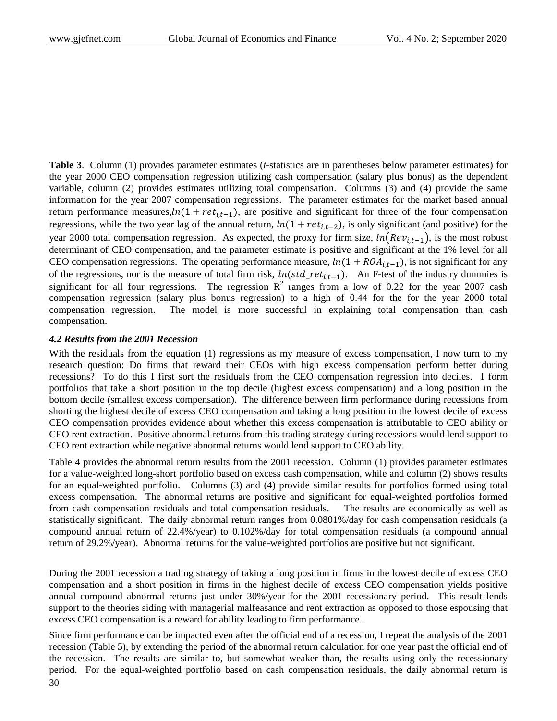**[Table 3](#page-10-0)**. Column (1) provides parameter estimates (*t*-statistics are in parentheses below parameter estimates) for the year 2000 CEO compensation regression utilizing cash compensation (salary plus bonus) as the dependent variable, column (2) provides estimates utilizing total compensation. Columns (3) and (4) provide the same information for the year 2007 compensation regressions. The parameter estimates for the market based annual return performance measures,  $ln(1 + ret_{i,t-1})$ , are positive and significant for three of the four compensation regressions, while the two year lag of the annual return,  $ln(1 + ret_{i,t-2})$ , is only significant (and positive) for the year 2000 total compensation regression. As expected, the proxy for firm size,  $ln(Rev_{i,t-1})$ , is the most robust determinant of CEO compensation, and the parameter estimate is positive and significant at the 1% level for all CEO compensation regressions. The operating performance measure,  $ln(1 + ROA_{i,t-1})$ , is not significant for any of the regressions, nor is the measure of total firm risk,  $ln(std_ret_{i,t-1})$ . An F-test of the industry dummies is significant for all four regressions. The regression  $\mathbb{R}^2$  ranges from a low of 0.22 for the year 2007 cash compensation regression (salary plus bonus regression) to a high of 0.44 for the for the year 2000 total compensation regression. The model is more successful in explaining total compensation than cash compensation.

#### *4.2 Results from the 2001 Recession*

With the residuals from the equation (1) regressions as my measure of excess compensation, I now turn to my research question: Do firms that reward their CEOs with high excess compensation perform better during recessions? To do this I first sort the residuals from the CEO compensation regression into deciles. I form portfolios that take a short position in the top decile (highest excess compensation) and a long position in the bottom decile (smallest excess compensation). The difference between firm performance during recessions from shorting the highest decile of excess CEO compensation and taking a long position in the lowest decile of excess CEO compensation provides evidence about whether this excess compensation is attributable to CEO ability or CEO rent extraction. Positive abnormal returns from this trading strategy during recessions would lend support to CEO rent extraction while negative abnormal returns would lend support to CEO ability.

Table 4 provides the abnormal return results from the 2001 recession. Column (1) provides parameter estimates for a value-weighted long-short portfolio based on excess cash compensation, while and column (2) shows results for an equal-weighted portfolio. Columns (3) and (4) provide similar results for portfolios formed using total excess compensation. The abnormal returns are positive and significant for equal-weighted portfolios formed from cash compensation residuals and total compensation residuals. The results are economically as well as statistically significant. The daily abnormal return ranges from 0.0801%/day for cash compensation residuals (a compound annual return of 22.4%/year) to 0.102%/day for total compensation residuals (a compound annual return of 29.2%/year). Abnormal returns for the value-weighted portfolios are positive but not significant.

During the 2001 recession a trading strategy of taking a long position in firms in the lowest decile of excess CEO compensation and a short position in firms in the highest decile of excess CEO compensation yields positive annual compound abnormal returns just under 30%/year for the 2001 recessionary period. This result lends support to the theories siding with managerial malfeasance and rent extraction as opposed to those espousing that excess CEO compensation is a reward for ability leading to firm performance.

Since firm performance can be impacted even after the official end of a recession, I repeat the analysis of the 2001 recession (Table 5), by extending the period of the abnormal return calculation for one year past the official end of the recession. The results are similar to, but somewhat weaker than, the results using only the recessionary period. For the equal-weighted portfolio based on cash compensation residuals, the daily abnormal return is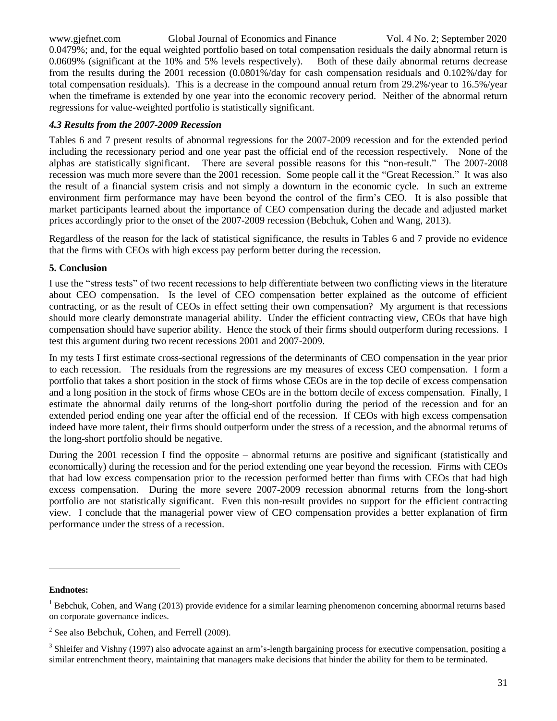www.gjefnet.com Global Journal of Economics and Finance Vol. 4 No. 2; September 2020

0.0479%; and, for the equal weighted portfolio based on total compensation residuals the daily abnormal return is 0.0609% (significant at the 10% and 5% levels respectively). Both of these daily abnormal returns decrease from the results during the 2001 recession (0.0801%/day for cash compensation residuals and 0.102%/day for total compensation residuals). This is a decrease in the compound annual return from 29.2%/year to 16.5%/year when the timeframe is extended by one year into the economic recovery period. Neither of the abnormal return regressions for value-weighted portfolio is statistically significant.

#### *4.3 Results from the 2007-2009 Recession*

Tables 6 and 7 present results of abnormal regressions for the 2007-2009 recession and for the extended period including the recessionary period and one year past the official end of the recession respectively. None of the alphas are statistically significant. There are several possible reasons for this "non-result." The 2007-2008 recession was much more severe than the 2001 recession. Some people call it the "Great Recession." It was also the result of a financial system crisis and not simply a downturn in the economic cycle. In such an extreme environment firm performance may have been beyond the control of the firm's CEO. It is also possible that market participants learned about the importance of CEO compensation during the decade and adjusted market prices accordingly prior to the onset of the 2007-2009 recession (Bebchuk, Cohen and Wang, 2013).

Regardless of the reason for the lack of statistical significance, the results in Tables 6 and 7 provide no evidence that the firms with CEOs with high excess pay perform better during the recession.

#### **5. Conclusion**

I use the "stress tests" of two recent recessions to help differentiate between two conflicting views in the literature about CEO compensation. Is the level of CEO compensation better explained as the outcome of efficient contracting, or as the result of CEOs in effect setting their own compensation? My argument is that recessions should more clearly demonstrate managerial ability. Under the efficient contracting view, CEOs that have high compensation should have superior ability. Hence the stock of their firms should outperform during recessions. I test this argument during two recent recessions 2001 and 2007-2009.

In my tests I first estimate cross-sectional regressions of the determinants of CEO compensation in the year prior to each recession. The residuals from the regressions are my measures of excess CEO compensation. I form a portfolio that takes a short position in the stock of firms whose CEOs are in the top decile of excess compensation and a long position in the stock of firms whose CEOs are in the bottom decile of excess compensation. Finally, I estimate the abnormal daily returns of the long-short portfolio during the period of the recession and for an extended period ending one year after the official end of the recession. If CEOs with high excess compensation indeed have more talent, their firms should outperform under the stress of a recession, and the abnormal returns of the long-short portfolio should be negative.

During the 2001 recession I find the opposite – abnormal returns are positive and significant (statistically and economically) during the recession and for the period extending one year beyond the recession. Firms with CEOs that had low excess compensation prior to the recession performed better than firms with CEOs that had high excess compensation. During the more severe 2007-2009 recession abnormal returns from the long-short portfolio are not statistically significant. Even this non-result provides no support for the efficient contracting view. I conclude that the managerial power view of CEO compensation provides a better explanation of firm performance under the stress of a recession.

#### **Endnotes:**

 $\overline{a}$ 

<sup>&</sup>lt;sup>1</sup> Bebchuk, Cohen, and Wang (2013) provide evidence for a similar learning phenomenon concerning abnormal returns based on corporate governance indices.

<sup>&</sup>lt;sup>2</sup> See also Bebchuk, Cohen, and Ferrell (2009).

 $3$  Shleifer and Vishny (1997) also advocate against an arm's-length bargaining process for executive compensation, positing a similar entrenchment theory, maintaining that managers make decisions that hinder the ability for them to be terminated.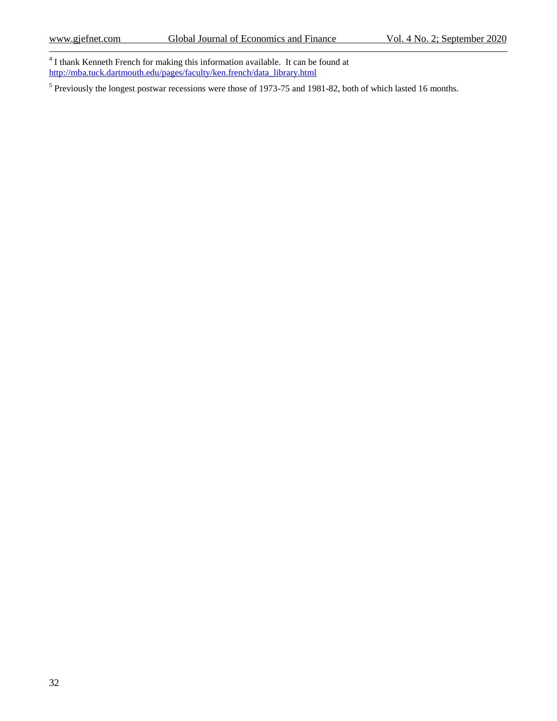4 I thank Kenneth French for making this information available. It can be found at [http://mba.tuck.dartmouth.edu/pages/faculty/ken.french/data\\_library.html](http://mba.tuck.dartmouth.edu/pages/faculty/ken.french/data_library.html)

<sup>5</sup> Previously the longest postwar recessions were those of 1973-75 and 1981-82, both of which lasted 16 months.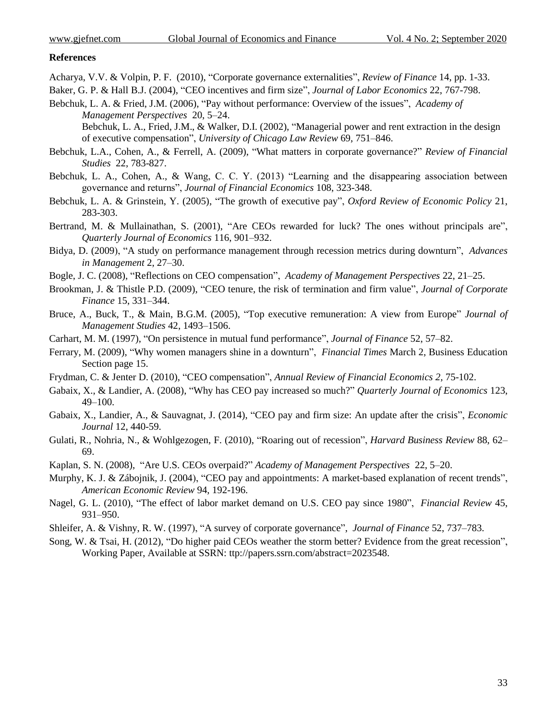#### **References**

- Acharya, V.V. & Volpin, P. F. (2010), "Corporate governance externalities", *Review of Finance* 14, pp. 1-33.
- Baker, G. P. & Hall B.J. (2004), "CEO incentives and firm size", *Journal of Labor Economics* 22, 767-798.
- Bebchuk, L. A. & Fried, J.M. (2006), "Pay without performance: Overview of the issues", *Academy of Management Perspectives* 20, 5–24.

Bebchuk, L. A., Fried, J.M., & Walker, D.I. (2002), "Managerial power and rent extraction in the design of executive compensation", *University of Chicago Law Review* 69, 751–846.

- Bebchuk, L.A., Cohen, A., & Ferrell, A. (2009), "What matters in corporate governance?" *Review of Financial Studies* 22, 783-827.
- Bebchuk, L. A., Cohen, A., & Wang, C. C. Y. (2013) "Learning and the disappearing association between governance and returns", *Journal of Financial Economics* 108, 323-348.
- Bebchuk, L. A. & Grinstein, Y. (2005), "The growth of executive pay", *Oxford Review of Economic Policy* 21, 283-303.
- Bertrand, M. & Mullainathan, S. (2001), "Are CEOs rewarded for luck? The ones without principals are", *Quarterly Journal of Economics* 116, 901–932.
- Bidya, D. (2009), "A study on performance management through recession metrics during downturn", *Advances in Management* 2, 27–30.
- Bogle, J. C. (2008), "Reflections on CEO compensation", *Academy of Management Perspectives* 22, 21–25.
- Brookman, J. & Thistle P.D. (2009), "CEO tenure, the risk of termination and firm value", *Journal of Corporate Finance* 15, 331–344.
- Bruce, A., Buck, T., & Main, B.G.M. (2005), "Top executive remuneration: A view from Europe" *Journal of Management Studies* 42, 1493–1506.
- Carhart, M. M. (1997), "On persistence in mutual fund performance", *Journal of Finance* 52, 57–82.
- Ferrary, M. (2009), "Why women managers shine in a downturn", *Financial Times* March 2, Business Education Section page 15.
- Frydman, C. & Jenter D. (2010), "CEO compensation", *Annual Review of Financial Economics 2,* 75-102.
- Gabaix, X., & Landier, A. (2008), "Why has CEO pay increased so much?" *Quarterly Journal of Economics* 123, 49–100.
- Gabaix, X., Landier, A., & Sauvagnat, J. (2014), "CEO pay and firm size: An update after the crisis", *Economic Journal* 12, 440-59.
- Gulati, R., Nohria, N., & Wohlgezogen, F. (2010), "Roaring out of recession", *Harvard Business Review* 88, 62– 69.
- Kaplan, S. N. (2008), "Are U.S. CEOs overpaid?" *Academy of Management Perspectives* 22, 5–20.
- Murphy, K. J. & Zábojnik, J. (2004), "CEO pay and appointments: A market-based explanation of recent trends", *American Economic Review* 94, 192-196.
- Nagel, G. L. (2010), "The effect of labor market demand on U.S. CEO pay since 1980", *Financial Review* 45, 931–950.
- Shleifer, A. & Vishny, R. W. (1997), "A survey of corporate governance", *Journal of Finance* 52, 737–783.
- <span id="page-8-0"></span>Song, W. & Tsai, H. (2012), "Do higher paid CEOs weather the storm better? Evidence from the great recession", Working Paper, Available at SSRN: ttp://papers.ssrn.com/abstract=2023548.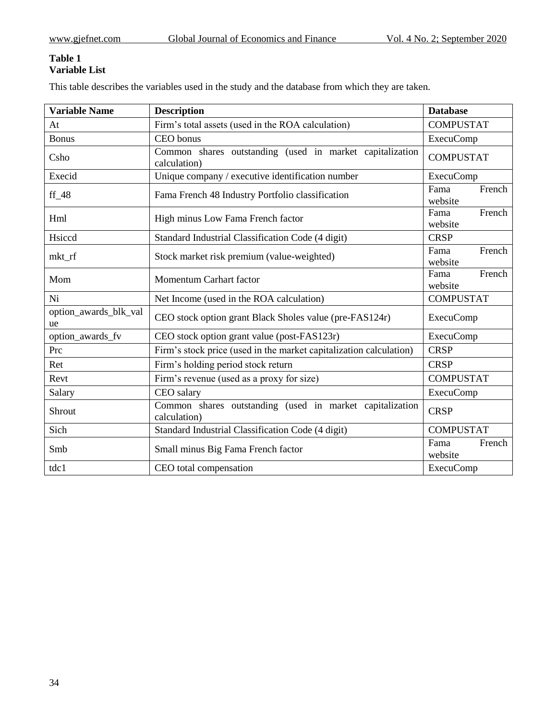## **Table 1 Variable List**

This table describes the variables used in the study and the database from which they are taken.

<span id="page-9-0"></span>

| <b>Variable Name</b>        | <b>Description</b>                                                       | <b>Database</b>           |
|-----------------------------|--------------------------------------------------------------------------|---------------------------|
| At                          | Firm's total assets (used in the ROA calculation)                        | <b>COMPUSTAT</b>          |
| <b>Bonus</b>                | CEO bonus                                                                | <b>ExecuComp</b>          |
| Csho                        | Common shares outstanding (used in market capitalization<br>calculation) | <b>COMPUSTAT</b>          |
| Execid                      | Unique company / executive identification number                         | <b>ExecuComp</b>          |
| $ff_48$                     | Fama French 48 Industry Portfolio classification                         | French<br>Fama<br>website |
| Hml                         | High minus Low Fama French factor                                        | French<br>Fama<br>website |
| Hsiccd                      | Standard Industrial Classification Code (4 digit)                        | <b>CRSP</b>               |
| mkt_rf                      | Stock market risk premium (value-weighted)                               | French<br>Fama<br>website |
| Mom                         | Momentum Carhart factor                                                  | Fama<br>French<br>website |
| Ni                          | Net Income (used in the ROA calculation)                                 | <b>COMPUSTAT</b>          |
| option_awards_blk_val<br>ue | CEO stock option grant Black Sholes value (pre-FAS124r)                  | <b>ExecuComp</b>          |
| option_awards_fv            | CEO stock option grant value (post-FAS123r)                              | <b>ExecuComp</b>          |
| Prc                         | Firm's stock price (used in the market capitalization calculation)       | <b>CRSP</b>               |
| Ret                         | Firm's holding period stock return                                       | <b>CRSP</b>               |
| Revt                        | Firm's revenue (used as a proxy for size)                                | <b>COMPUSTAT</b>          |
| Salary                      | CEO salary                                                               | <b>ExecuComp</b>          |
| Shrout                      | Common shares outstanding (used in market capitalization<br>calculation) | <b>CRSP</b>               |
| Sich                        | Standard Industrial Classification Code (4 digit)                        | <b>COMPUSTAT</b>          |
| Smb                         | Small minus Big Fama French factor                                       | Fama<br>French<br>website |
| tdc1                        | CEO total compensation                                                   | <b>ExecuComp</b>          |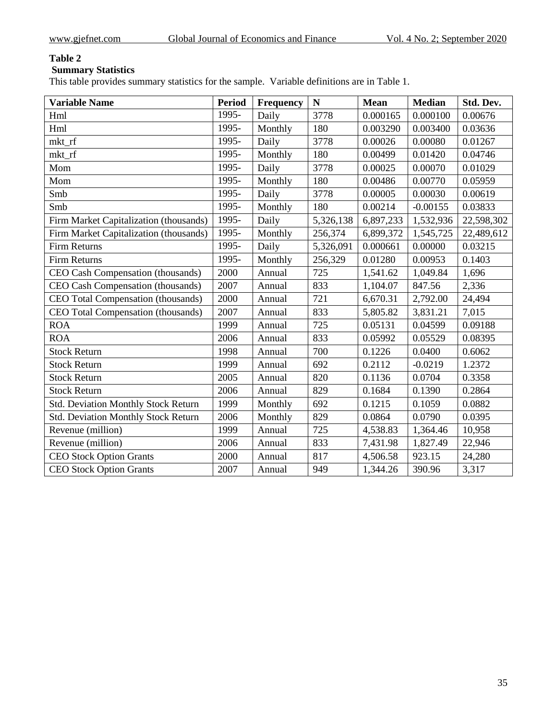# **Summary Statistics**

This table provides summary statistics for the sample. Variable definitions are in Table 1.

<span id="page-10-0"></span>

| <b>Variable Name</b>                       | <b>Period</b> | Frequency | N         | <b>Mean</b> | <b>Median</b> | Std. Dev.  |
|--------------------------------------------|---------------|-----------|-----------|-------------|---------------|------------|
| Hml                                        | 1995-         | Daily     | 3778      | 0.000165    | 0.000100      | 0.00676    |
| Hml                                        | 1995-         | Monthly   | 180       | 0.003290    | 0.003400      | 0.03636    |
| mkt_rf                                     | 1995-         | Daily     | 3778      | 0.00026     | 0.00080       | 0.01267    |
| mkt_rf                                     | 1995-         | Monthly   | 180       | 0.00499     | 0.01420       | 0.04746    |
| Mom                                        | 1995-         | Daily     | 3778      | 0.00025     | 0.00070       | 0.01029    |
| Mom                                        | 1995-         | Monthly   | 180       | 0.00486     | 0.00770       | 0.05959    |
| Smb                                        | 1995-         | Daily     | 3778      | 0.00005     | 0.00030       | 0.00619    |
| Smb                                        | 1995-         | Monthly   | 180       | 0.00214     | $-0.00155$    | 0.03833    |
| Firm Market Capitalization (thousands)     | 1995-         | Daily     | 5,326,138 | 6,897,233   | 1,532,936     | 22,598,302 |
| Firm Market Capitalization (thousands)     | 1995-         | Monthly   | 256,374   | 6,899,372   | 1,545,725     | 22,489,612 |
| <b>Firm Returns</b>                        | 1995-         | Daily     | 5,326,091 | 0.000661    | 0.00000       | 0.03215    |
| Firm Returns                               | 1995-         | Monthly   | 256,329   | 0.01280     | 0.00953       | 0.1403     |
| CEO Cash Compensation (thousands)          | 2000          | Annual    | 725       | 1,541.62    | 1,049.84      | 1,696      |
| CEO Cash Compensation (thousands)          | 2007          | Annual    | 833       | 1,104.07    | 847.56        | 2,336      |
| CEO Total Compensation (thousands)         | 2000          | Annual    | 721       | 6,670.31    | 2,792.00      | 24,494     |
| CEO Total Compensation (thousands)         | 2007          | Annual    | 833       | 5,805.82    | 3,831.21      | 7,015      |
| <b>ROA</b>                                 | 1999          | Annual    | 725       | 0.05131     | 0.04599       | 0.09188    |
| <b>ROA</b>                                 | 2006          | Annual    | 833       | 0.05992     | 0.05529       | 0.08395    |
| <b>Stock Return</b>                        | 1998          | Annual    | 700       | 0.1226      | 0.0400        | 0.6062     |
| <b>Stock Return</b>                        | 1999          | Annual    | 692       | 0.2112      | $-0.0219$     | 1.2372     |
| <b>Stock Return</b>                        | 2005          | Annual    | 820       | 0.1136      | 0.0704        | 0.3358     |
| <b>Stock Return</b>                        | 2006          | Annual    | 829       | 0.1684      | 0.1390        | 0.2864     |
| <b>Std. Deviation Monthly Stock Return</b> | 1999          | Monthly   | 692       | 0.1215      | 0.1059        | 0.0882     |
| <b>Std. Deviation Monthly Stock Return</b> | 2006          | Monthly   | 829       | 0.0864      | 0.0790        | 0.0395     |
| Revenue (million)                          | 1999          | Annual    | 725       | 4,538.83    | 1,364.46      | 10,958     |
| Revenue (million)                          | 2006          | Annual    | 833       | 7,431.98    | 1,827.49      | 22,946     |
| <b>CEO Stock Option Grants</b>             | 2000          | Annual    | 817       | 4,506.58    | 923.15        | 24,280     |
| <b>CEO Stock Option Grants</b>             | 2007          | Annual    | 949       | 1,344.26    | 390.96        | 3,317      |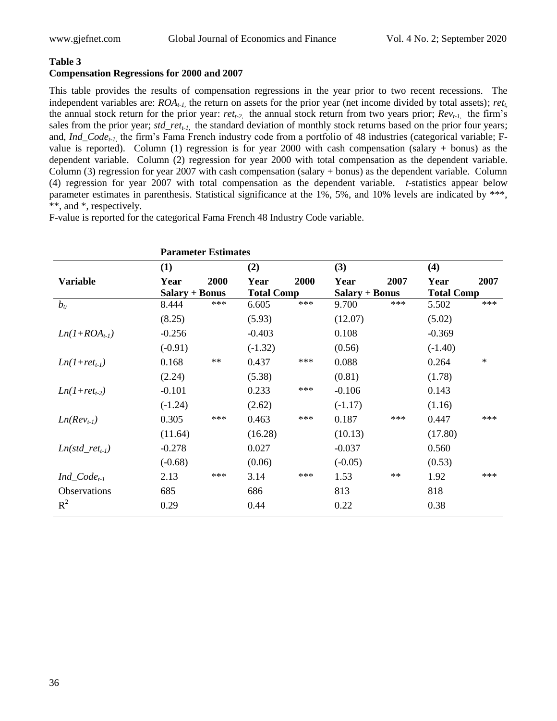#### **Compensation Regressions for 2000 and 2007**

This table provides the results of compensation regressions in the year prior to two recent recessions. The independent variables are: *ROAt-1,* the return on assets for the prior year (net income divided by total assets); *rett,* the annual stock return for the prior year: *rett-2,* the annual stock return from two years prior; *Revt-1,*  the firm's sales from the prior year; *std\_rett-1,* the standard deviation of monthly stock returns based on the prior four years; and, *Ind\_Codet-1,* the firm's Fama French industry code from a portfolio of 48 industries (categorical variable; Fvalue is reported). Column (1) regression is for year 2000 with cash compensation (salary + bonus) as the dependent variable. Column (2) regression for year 2000 with total compensation as the dependent variable. Column (3) regression for year 2007 with cash compensation (salary + bonus) as the dependent variable. Column (4) regression for year 2007 with total compensation as the dependent variable. *t*-statistics appear below parameter estimates in parenthesis. Statistical significance at the 1%, 5%, and 10% levels are indicated by \*\*\*, \*\*, and \*, respectively.

F-value is reported for the categorical Fama French 48 Industry Code variable.

|                     |                       | <b>Parameter Estimates</b> |                   |       |                       |            |                   |        |
|---------------------|-----------------------|----------------------------|-------------------|-------|-----------------------|------------|-------------------|--------|
|                     | (1)                   |                            | (2)               |       | (3)                   |            | (4)               |        |
| <b>Variable</b>     | Year                  | 2000                       | Year              | 2000  | Year                  | 2007       | Year              | 2007   |
|                     | <b>Salary + Bonus</b> |                            | <b>Total Comp</b> |       | <b>Salary + Bonus</b> |            | <b>Total Comp</b> |        |
| $b_0$               | 8.444                 | ***                        | 6.605             | ***   | 9.700                 | ***        | 5.502             | $***$  |
|                     | (8.25)                |                            | (5.93)            |       | (12.07)               |            | (5.02)            |        |
| $Ln(I+ROAt-1)$      | $-0.256$              |                            | $-0.403$          |       | 0.108                 |            | $-0.369$          |        |
|                     | $(-0.91)$             |                            | $(-1.32)$         |       | (0.56)                |            | $(-1.40)$         |        |
| $Ln(1+ret_{t-1})$   | 0.168                 | $\ast\ast$                 | 0.437             | $***$ | 0.088                 |            | 0.264             | $\ast$ |
|                     | (2.24)                |                            | (5.38)            |       | (0.81)                |            | (1.78)            |        |
| $Ln(1 + ret_{t-2})$ | $-0.101$              |                            | 0.233             | ***   | $-0.106$              |            | 0.143             |        |
|                     | $(-1.24)$             |                            | (2.62)            |       | $(-1.17)$             |            | (1.16)            |        |
| $Ln(Revt-1)$        | 0.305                 | ***                        | 0.463             | $***$ | 0.187                 | $***$      | 0.447             | ***    |
|                     | (11.64)               |                            | (16.28)           |       | (10.13)               |            | (17.80)           |        |
| $Ln(std_re_t_t)$    | $-0.278$              |                            | 0.027             |       | $-0.037$              |            | 0.560             |        |
|                     | $(-0.68)$             |                            | (0.06)            |       | $(-0.05)$             |            | (0.53)            |        |
| $Ind\_Code_{t-1}$   | 2.13                  | ***                        | 3.14              | $***$ | 1.53                  | $\ast\ast$ | 1.92              | ***    |
| <b>Observations</b> | 685                   |                            | 686               |       | 813                   |            | 818               |        |
| $R^2$               | 0.29                  |                            | 0.44              |       | 0.22                  |            | 0.38              |        |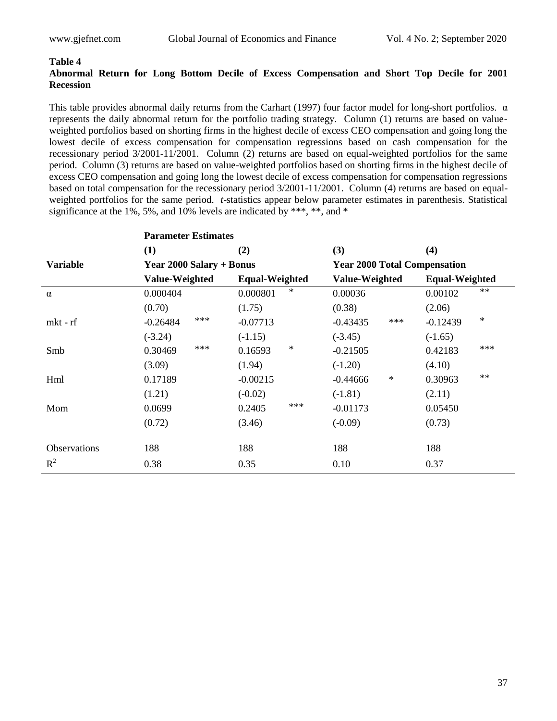#### **Abnormal Return for Long Bottom Decile of Excess Compensation and Short Top Decile for 2001 Recession**

This table provides abnormal daily returns from the Carhart (1997) four factor model for long-short portfolios.  $\alpha$ represents the daily abnormal return for the portfolio trading strategy. Column (1) returns are based on valueweighted portfolios based on shorting firms in the highest decile of excess CEO compensation and going long the lowest decile of excess compensation for compensation regressions based on cash compensation for the recessionary period 3/2001-11/2001. Column (2) returns are based on equal-weighted portfolios for the same period. Column (3) returns are based on value-weighted portfolios based on shorting firms in the highest decile of excess CEO compensation and going long the lowest decile of excess compensation for compensation regressions based on total compensation for the recessionary period 3/2001-11/2001. Column (4) returns are based on equalweighted portfolios for the same period. *t*-statistics appear below parameter estimates in parenthesis. Statistical significance at the 1%, 5%, and 10% levels are indicated by \*\*\*, \*\*, and \*

|                     | <b>Parameter Estimates</b> |                       |                                     |                       |  |
|---------------------|----------------------------|-----------------------|-------------------------------------|-----------------------|--|
|                     | (1)                        | (2)                   | (3)                                 | (4)                   |  |
| <b>Variable</b>     | Year 2000 Salary + Bonus   |                       | <b>Year 2000 Total Compensation</b> |                       |  |
|                     | Value-Weighted             | <b>Equal-Weighted</b> | Value-Weighted                      | <b>Equal-Weighted</b> |  |
| $\alpha$            | 0.000404                   | $\ast$<br>0.000801    | 0.00036                             | **<br>0.00102         |  |
|                     | (0.70)                     | (1.75)                | (0.38)                              | (2.06)                |  |
| mkt - rf            | $***$<br>$-0.26484$        | $-0.07713$            | ***<br>$-0.43435$                   | $\ast$<br>$-0.12439$  |  |
|                     | $(-3.24)$                  | $(-1.15)$             | $(-3.45)$                           | $(-1.65)$             |  |
| Smb                 | $***$<br>0.30469           | $\ast$<br>0.16593     | $-0.21505$                          | ***<br>0.42183        |  |
|                     | (3.09)                     | (1.94)                | $(-1.20)$                           | (4.10)                |  |
| Hml                 | 0.17189                    | $-0.00215$            | ∗<br>$-0.44666$                     | $**$<br>0.30963       |  |
|                     | (1.21)                     | $(-0.02)$             | $(-1.81)$                           | (2.11)                |  |
| Mom                 | 0.0699                     | ***<br>0.2405         | $-0.01173$                          | 0.05450               |  |
|                     | (0.72)                     | (3.46)                | $(-0.09)$                           | (0.73)                |  |
|                     |                            |                       |                                     |                       |  |
| <b>Observations</b> | 188                        | 188                   | 188                                 | 188                   |  |
| $R^2$               | 0.38                       | 0.35                  | 0.10                                | 0.37                  |  |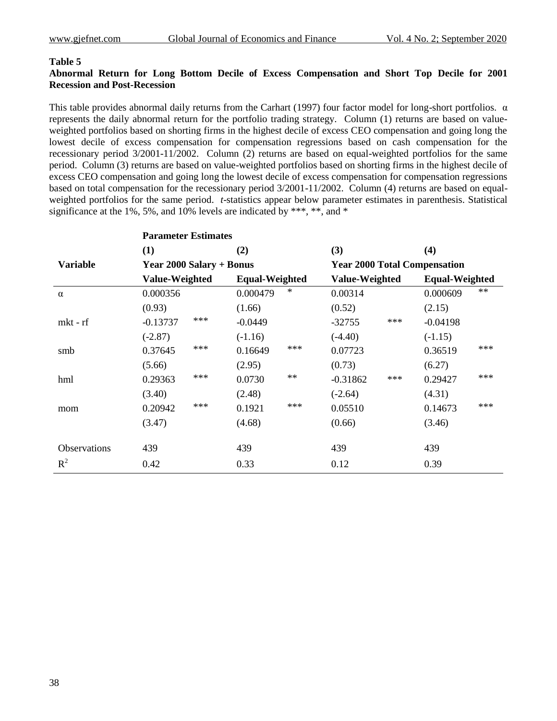#### **Abnormal Return for Long Bottom Decile of Excess Compensation and Short Top Decile for 2001 Recession and Post-Recession**

This table provides abnormal daily returns from the Carhart (1997) four factor model for long-short portfolios.  $\alpha$ represents the daily abnormal return for the portfolio trading strategy. Column (1) returns are based on valueweighted portfolios based on shorting firms in the highest decile of excess CEO compensation and going long the lowest decile of excess compensation for compensation regressions based on cash compensation for the recessionary period 3/2001-11/2002. Column (2) returns are based on equal-weighted portfolios for the same period. Column (3) returns are based on value-weighted portfolios based on shorting firms in the highest decile of excess CEO compensation and going long the lowest decile of excess compensation for compensation regressions based on total compensation for the recessionary period 3/2001-11/2002. Column (4) returns are based on equalweighted portfolios for the same period. *t*-statistics appear below parameter estimates in parenthesis. Statistical significance at the 1%, 5%, and 10% levels are indicated by \*\*\*, \*\*, and \*

|                 | <b>Parameter Estimates</b> |                       |                                     |                       |  |
|-----------------|----------------------------|-----------------------|-------------------------------------|-----------------------|--|
|                 | (1)                        | (2)                   | (3)                                 | (4)                   |  |
| <b>Variable</b> | Year 2000 Salary + Bonus   |                       | <b>Year 2000 Total Compensation</b> |                       |  |
|                 | Value-Weighted             | <b>Equal-Weighted</b> | Value-Weighted                      | <b>Equal-Weighted</b> |  |
| $\alpha$        | 0.000356                   | ∗<br>0.000479         | 0.00314                             | $**$<br>0.000609      |  |
|                 | (0.93)                     | (1.66)                | (0.52)                              | (2.15)                |  |
| mkt - rf        | ***<br>$-0.13737$          | $-0.0449$             | ***<br>$-32755$                     | $-0.04198$            |  |
|                 | $(-2.87)$                  | $(-1.16)$             | $(-4.40)$                           | $(-1.15)$             |  |
| smb             | ***<br>0.37645             | ***<br>0.16649        | 0.07723                             | ***<br>0.36519        |  |
|                 | (5.66)                     | (2.95)                | (0.73)                              | (6.27)                |  |
| hml             | ***<br>0.29363             | $**$<br>0.0730        | ***<br>$-0.31862$                   | ***<br>0.29427        |  |
|                 | (3.40)                     | (2.48)                | $(-2.64)$                           | (4.31)                |  |
| mom             | ***<br>0.20942             | ***<br>0.1921         | 0.05510                             | ***<br>0.14673        |  |
|                 | (3.47)                     | (4.68)                | (0.66)                              | (3.46)                |  |
|                 |                            |                       |                                     |                       |  |
| Observations    | 439                        | 439                   | 439                                 | 439                   |  |
| $R^2$           | 0.42                       | 0.33                  | 0.12                                | 0.39                  |  |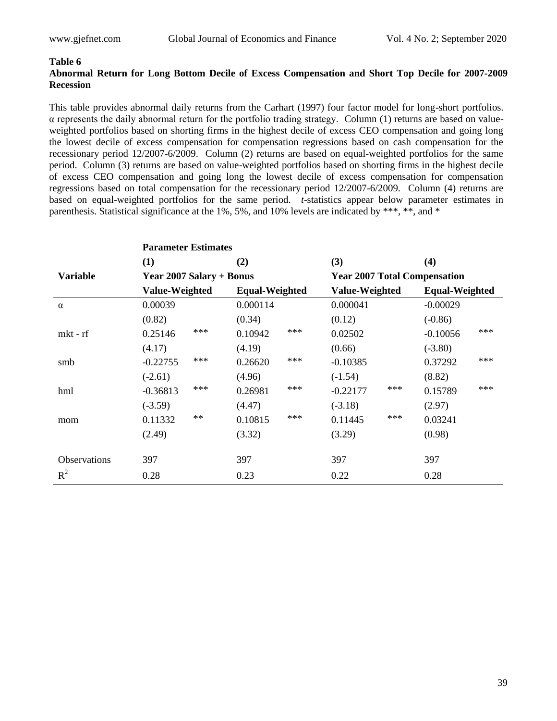#### **Abnormal Return for Long Bottom Decile of Excess Compensation and Short Top Decile for 2007-2009 Recession**

This table provides abnormal daily returns from the Carhart (1997) four factor model for long-short portfolios. α represents the daily abnormal return for the portfolio trading strategy. Column (1) returns are based on valueweighted portfolios based on shorting firms in the highest decile of excess CEO compensation and going long the lowest decile of excess compensation for compensation regressions based on cash compensation for the recessionary period 12/2007-6/2009. Column (2) returns are based on equal-weighted portfolios for the same period. Column (3) returns are based on value-weighted portfolios based on shorting firms in the highest decile of excess CEO compensation and going long the lowest decile of excess compensation for compensation regressions based on total compensation for the recessionary period 12/2007-6/2009. Column (4) returns are based on equal-weighted portfolios for the same period. *t*-statistics appear below parameter estimates in parenthesis. Statistical significance at the 1%, 5%, and 10% levels are indicated by \*\*\*, \*\*, and \*

|                     | <b>Parameter Estimates</b> |                       |                                     |                       |  |
|---------------------|----------------------------|-----------------------|-------------------------------------|-----------------------|--|
|                     | (1)                        | (2)                   | (3)                                 | (4)                   |  |
| <b>Variable</b>     | Year 2007 Salary + Bonus   |                       | <b>Year 2007 Total Compensation</b> |                       |  |
|                     | Value-Weighted             | <b>Equal-Weighted</b> | Value-Weighted                      | <b>Equal-Weighted</b> |  |
| $\alpha$            | 0.00039                    | 0.000114              | 0.000041                            | $-0.00029$            |  |
|                     | (0.82)                     | (0.34)                | (0.12)                              | $(-0.86)$             |  |
| $mkt - rf$          | $***$<br>0.25146           | $***$<br>0.10942      | 0.02502                             | ***<br>$-0.10056$     |  |
|                     | (4.17)                     | (4.19)                | (0.66)                              | $(-3.80)$             |  |
| smb                 | ***<br>$-0.22755$          | ***<br>0.26620        | $-0.10385$                          | ***<br>0.37292        |  |
|                     | $(-2.61)$                  | (4.96)                | $(-1.54)$                           | (8.82)                |  |
| hml                 | ***<br>$-0.36813$          | ***<br>0.26981        | ***<br>$-0.22177$                   | ***<br>0.15789        |  |
|                     | $(-3.59)$                  | (4.47)                | $(-3.18)$                           | (2.97)                |  |
| mom                 | $**$<br>0.11332            | ***<br>0.10815        | ***<br>0.11445                      | 0.03241               |  |
|                     | (2.49)                     | (3.32)                | (3.29)                              | (0.98)                |  |
|                     |                            |                       |                                     |                       |  |
| <b>Observations</b> | 397                        | 397                   | 397                                 | 397                   |  |
| $R^2$               | 0.28                       | 0.23                  | 0.22                                | 0.28                  |  |